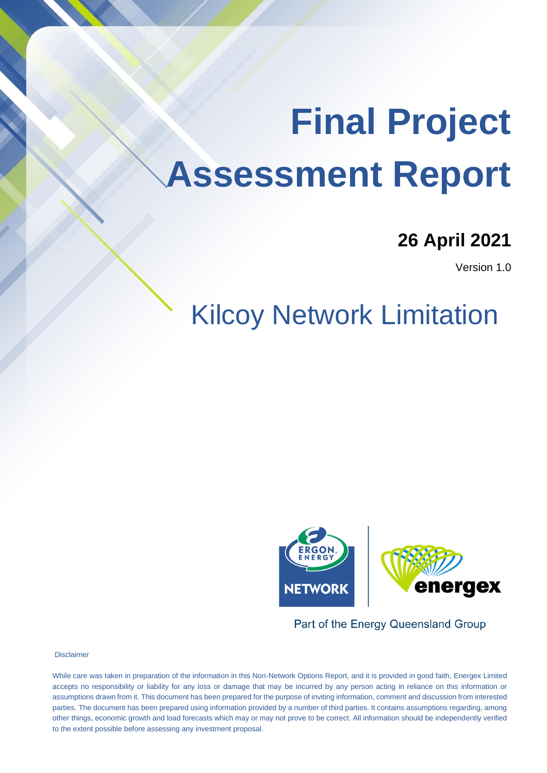# **26 April 2021**

Version 1.0

# Kilcoy Network Limitation **NICUS INCOVUIN LITTICATURE**



Part of the Energy Queensland Group

**Disclaimer** 

other things, economic growth and load forecasts which may or may not prove to be correct. All information should be independently verified to the extent possible before assessing any investment proposal. While care was taken in preparation of the information in this Non-Network Options Report, and it is provided in good faith, Energex Limited accepts no responsibility or liability for any loss or damage that may be incurred by any person acting in reliance on this information or assumptions drawn from it. This document has been prepared for the purpose of inviting information, comment and discussion from interested parties. The document has been prepared using information provided by a number of third parties. It contains assumptions regarding, among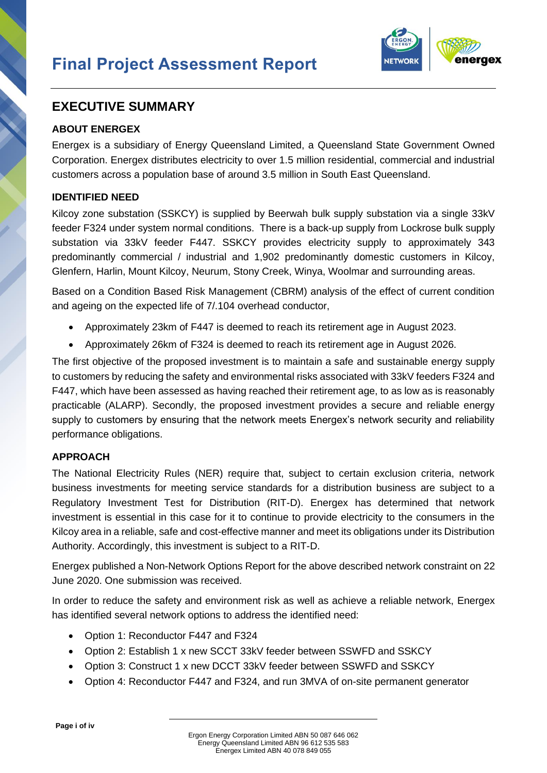

### **EXECUTIVE SUMMARY**

#### **ABOUT ENERGEX**

Energex is a subsidiary of Energy Queensland Limited, a Queensland State Government Owned Corporation. Energex distributes electricity to over 1.5 million residential, commercial and industrial customers across a population base of around 3.5 million in South East Queensland.

#### **IDENTIFIED NEED**

Kilcoy zone substation (SSKCY) is supplied by Beerwah bulk supply substation via a single 33kV feeder F324 under system normal conditions. There is a back-up supply from Lockrose bulk supply substation via 33kV feeder F447. SSKCY provides electricity supply to approximately 343 predominantly commercial / industrial and 1,902 predominantly domestic customers in Kilcoy, Glenfern, Harlin, Mount Kilcoy, Neurum, Stony Creek, Winya, Woolmar and surrounding areas.

Based on a Condition Based Risk Management (CBRM) analysis of the effect of current condition and ageing on the expected life of 7/.104 overhead conductor,

- Approximately 23km of F447 is deemed to reach its retirement age in August 2023.
- Approximately 26km of F324 is deemed to reach its retirement age in August 2026.

The first objective of the proposed investment is to maintain a safe and sustainable energy supply to customers by reducing the safety and environmental risks associated with 33kV feeders F324 and F447, which have been assessed as having reached their retirement age, to as low as is reasonably practicable (ALARP). Secondly, the proposed investment provides a secure and reliable energy supply to customers by ensuring that the network meets Energex's network security and reliability performance obligations.

#### **APPROACH**

The National Electricity Rules (NER) require that, subject to certain exclusion criteria, network business investments for meeting service standards for a distribution business are subject to a Regulatory Investment Test for Distribution (RIT-D). Energex has determined that network investment is essential in this case for it to continue to provide electricity to the consumers in the Kilcoy area in a reliable, safe and cost-effective manner and meet its obligations under its Distribution Authority. Accordingly, this investment is subject to a RIT-D.

Energex published a Non-Network Options Report for the above described network constraint on 22 June 2020. One submission was received.

In order to reduce the safety and environment risk as well as achieve a reliable network, Energex has identified several network options to address the identified need:

- Option 1: Reconductor F447 and F324
- Option 2: Establish 1 x new SCCT 33kV feeder between SSWFD and SSKCY
- Option 3: Construct 1 x new DCCT 33kV feeder between SSWFD and SSKCY
- Option 4: Reconductor F447 and F324, and run 3MVA of on-site permanent generator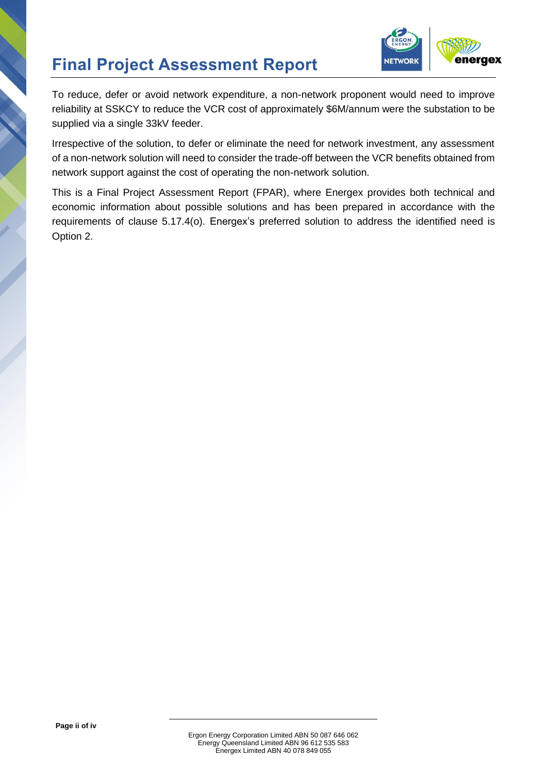

To reduce, defer or avoid network expenditure, a non-network proponent would need to improve reliability at SSKCY to reduce the VCR cost of approximately \$6M/annum were the substation to be supplied via a single 33kV feeder.

Irrespective of the solution, to defer or eliminate the need for network investment, any assessment of a non-network solution will need to consider the trade-off between the VCR benefits obtained from network support against the cost of operating the non-network solution.

This is a Final Project Assessment Report (FPAR), where Energex provides both technical and economic information about possible solutions and has been prepared in accordance with the requirements of clause 5.17.4(o). Energex's preferred solution to address the identified need is Option 2.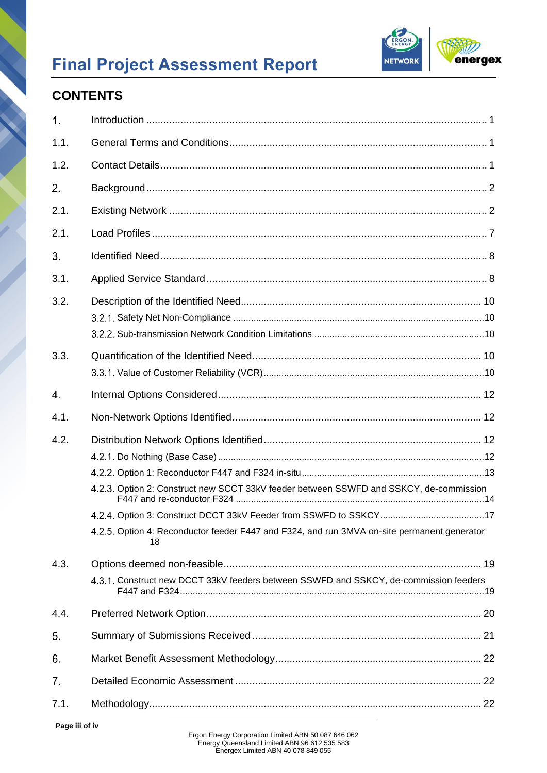

# **CONTENTS**

| 1.   |                                                                                                   |
|------|---------------------------------------------------------------------------------------------------|
| 1.1. |                                                                                                   |
| 1.2. |                                                                                                   |
| 2.   |                                                                                                   |
| 2.1. |                                                                                                   |
| 2.1. |                                                                                                   |
| 3.   |                                                                                                   |
| 3.1. |                                                                                                   |
| 3.2. |                                                                                                   |
|      |                                                                                                   |
| 3.3. |                                                                                                   |
|      |                                                                                                   |
| 4.   |                                                                                                   |
| 4.1. |                                                                                                   |
| 4.2. |                                                                                                   |
|      |                                                                                                   |
|      |                                                                                                   |
|      | 4.2.3. Option 2: Construct new SCCT 33kV feeder between SSWFD and SSKCY, de-commission            |
|      |                                                                                                   |
|      | 4.2.5. Option 4: Reconductor feeder F447 and F324, and run 3MVA on-site permanent generator<br>18 |
| 4.3. |                                                                                                   |
|      | 4.3.1. Construct new DCCT 33kV feeders between SSWFD and SSKCY, de-commission feeders             |
| 4.4. |                                                                                                   |
| 5.   |                                                                                                   |
| 6.   |                                                                                                   |
| 7.   |                                                                                                   |
| 7.1. |                                                                                                   |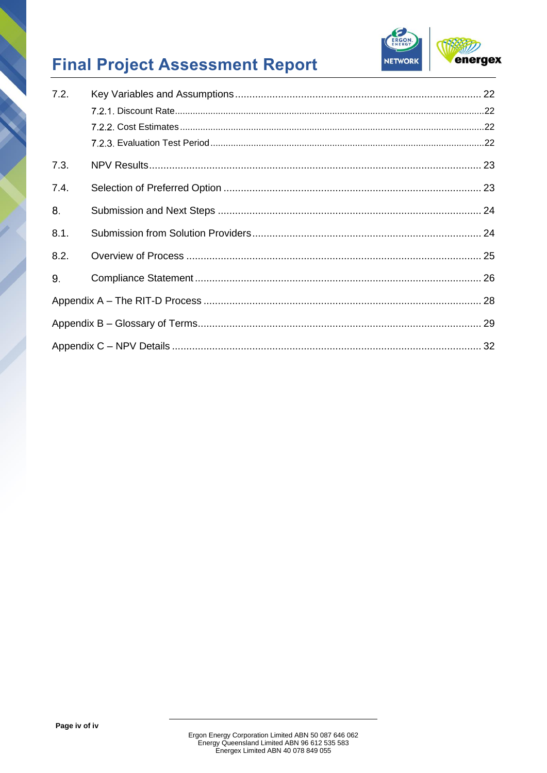

| 7.2. |  |
|------|--|
|      |  |
|      |  |
|      |  |
| 7.3. |  |
| 7.4. |  |
| 8.   |  |
| 8.1. |  |
| 8.2. |  |
| 9.   |  |
|      |  |
|      |  |
|      |  |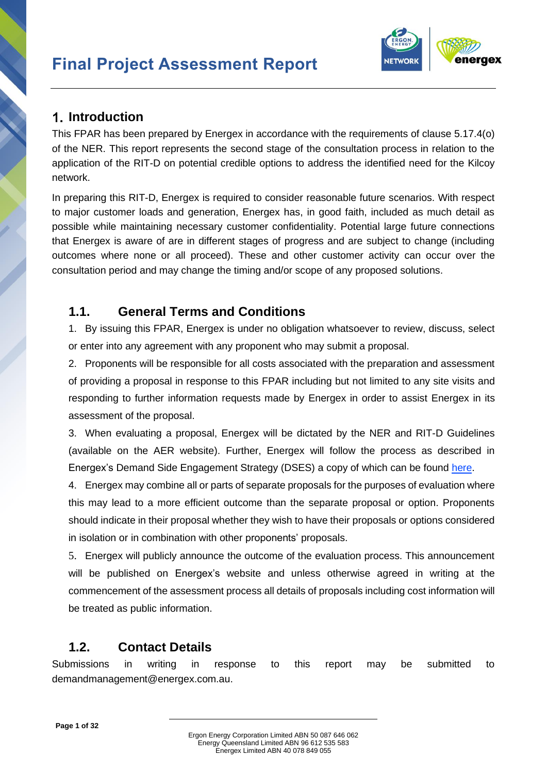

### <span id="page-5-0"></span>**Introduction**

This FPAR has been prepared by Energex in accordance with the requirements of clause 5.17.4(o) of the NER. This report represents the second stage of the consultation process in relation to the application of the RIT-D on potential credible options to address the identified need for the Kilcoy network.

In preparing this RIT-D, Energex is required to consider reasonable future scenarios. With respect to major customer loads and generation, Energex has, in good faith, included as much detail as possible while maintaining necessary customer confidentiality. Potential large future connections that Energex is aware of are in different stages of progress and are subject to change (including outcomes where none or all proceed). These and other customer activity can occur over the consultation period and may change the timing and/or scope of any proposed solutions.

### <span id="page-5-1"></span>**1.1. General Terms and Conditions**

1. By issuing this FPAR, Energex is under no obligation whatsoever to review, discuss, select or enter into any agreement with any proponent who may submit a proposal.

2. Proponents will be responsible for all costs associated with the preparation and assessment of providing a proposal in response to this FPAR including but not limited to any site visits and responding to further information requests made by Energex in order to assist Energex in its assessment of the proposal.

3. When evaluating a proposal, Energex will be dictated by the NER and RIT-D Guidelines (available on the AER website). Further, Energex will follow the process as described in Energex's Demand Side Engagement Strategy (DSES) a copy of which can be found [here.](https://www.energex.com.au/__data/assets/pdf_file/0017/342404/Demand-Side-Engagement-Strategy.pdf)

4. Energex may combine all or parts of separate proposals for the purposes of evaluation where this may lead to a more efficient outcome than the separate proposal or option. Proponents should indicate in their proposal whether they wish to have their proposals or options considered in isolation or in combination with other proponents' proposals.

5. Energex will publicly announce the outcome of the evaluation process. This announcement will be published on Energex's website and unless otherwise agreed in writing at the commencement of the assessment process all details of proposals including cost information will be treated as public information.

# <span id="page-5-2"></span>**1.2. Contact Details**

Submissions in writing in response to this report may be submitted to [demandmanagement@energex.com.au.](mailto:demandmanagement@energex.com.au)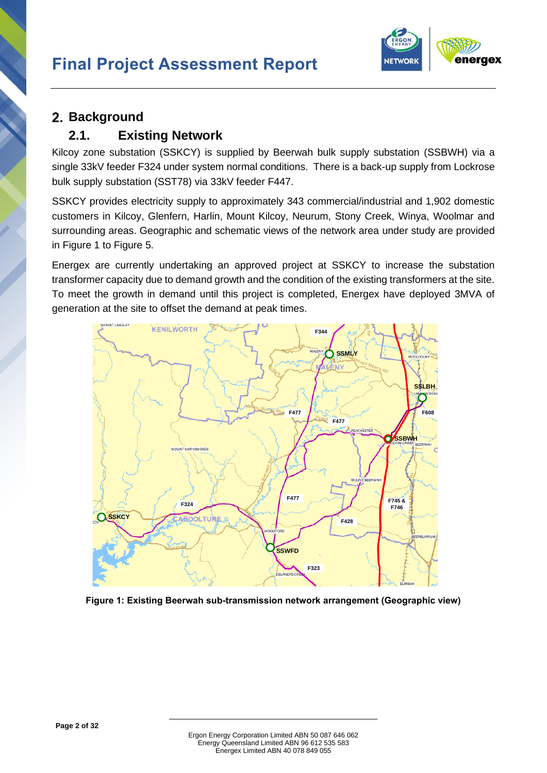

# <span id="page-6-0"></span>2. Background

### <span id="page-6-1"></span>**2.1. Existing Network**

Kilcoy zone substation (SSKCY) is supplied by Beerwah bulk supply substation (SSBWH) via a single 33kV feeder F324 under system normal conditions. There is a back-up supply from Lockrose bulk supply substation (SST78) via 33kV feeder F447.

SSKCY provides electricity supply to approximately 343 commercial/industrial and 1,902 domestic customers in Kilcoy, Glenfern, Harlin, Mount Kilcoy, Neurum, Stony Creek, Winya, Woolmar and surrounding areas. Geographic and schematic views of the network area under study are provided in Figure 1 to Figure 5.

Energex are currently undertaking an approved project at SSKCY to increase the substation transformer capacity due to demand growth and the condition of the existing transformers at the site. To meet the growth in demand until this project is completed, Energex have deployed 3MVA of generation at the site to offset the demand at peak times.



**Figure 1: Existing Beerwah sub-transmission network arrangement (Geographic view)**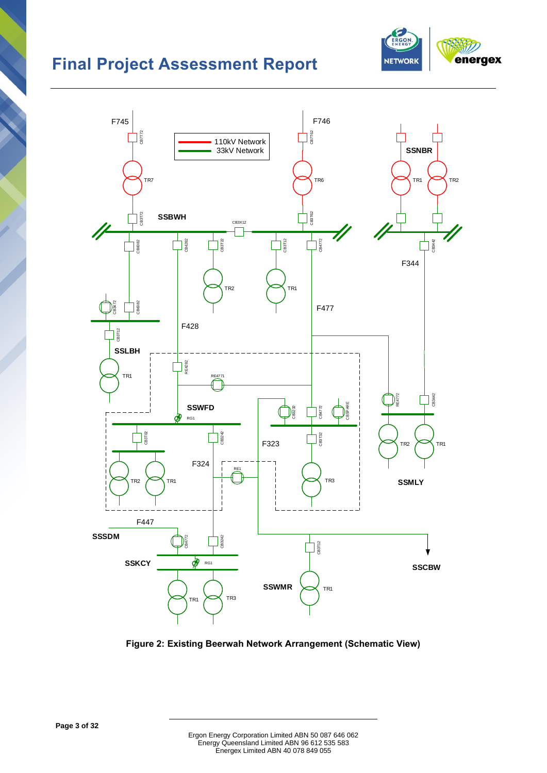



<span id="page-7-0"></span>**Figure 2: Existing Beerwah Network Arrangement (Schematic View)**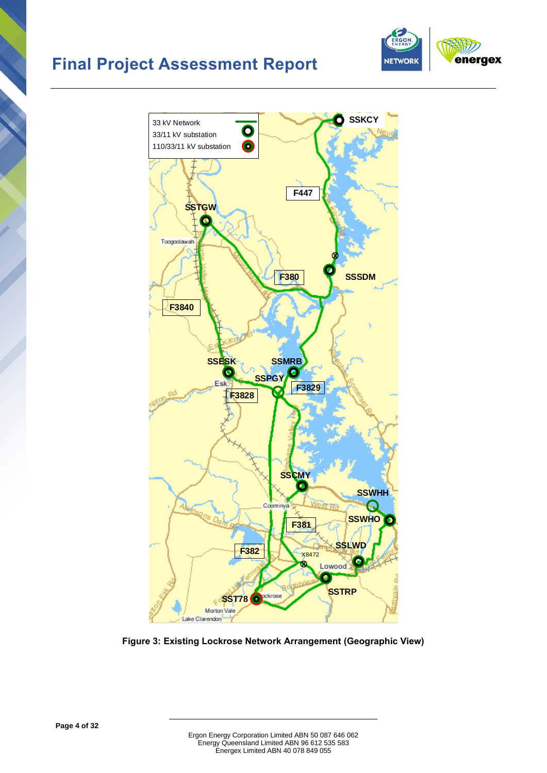





<span id="page-8-0"></span>**Figure 3: Existing Lockrose Network Arrangement (Geographic View)**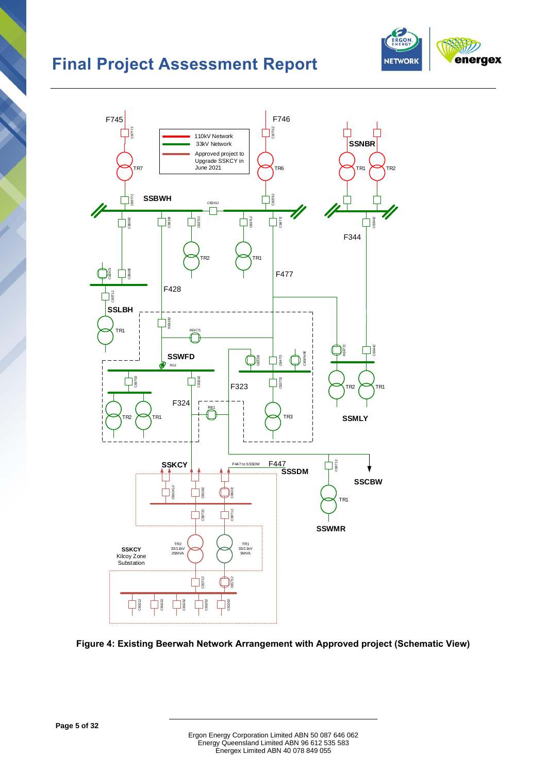



**Figure 4: Existing Beerwah Network Arrangement with Approved project (Schematic View)**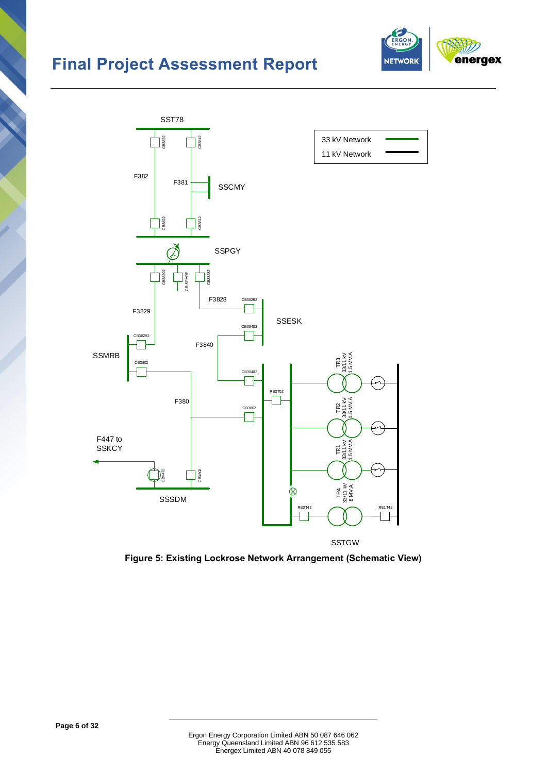



**Figure 5: Existing Lockrose Network Arrangement (Schematic View)**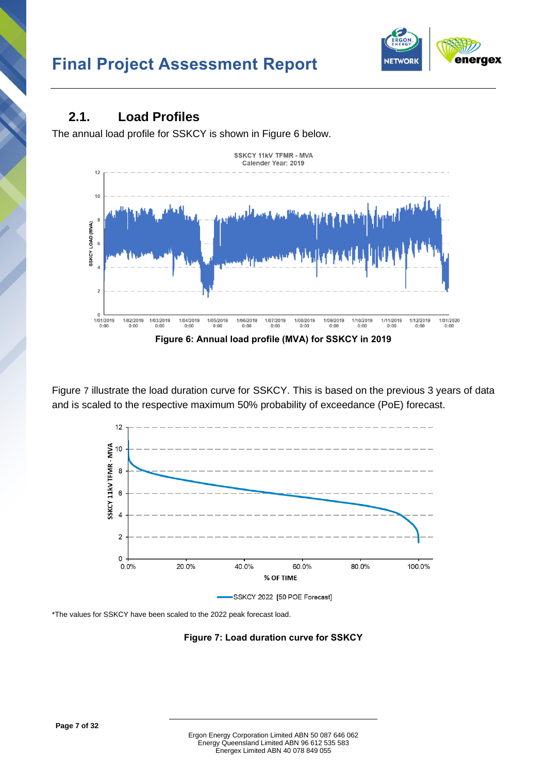

### <span id="page-11-0"></span>**2.1. Load Profiles**

The annual load profile for SSKCY is shown in [Figure 6](#page-11-1) below.



<span id="page-11-1"></span>[Figure](#page-11-2) 7 illustrate the load duration curve for SSKCY. This is based on the previous 3 years of data and is scaled to the respective maximum 50% probability of exceedance (PoE) forecast.



<span id="page-11-2"></span>SSKCY 2022 [50 POE Forecast]

\*The values for SSKCY have been scaled to the 2022 peak forecast load.

**Figure 7: Load duration curve for SSKCY**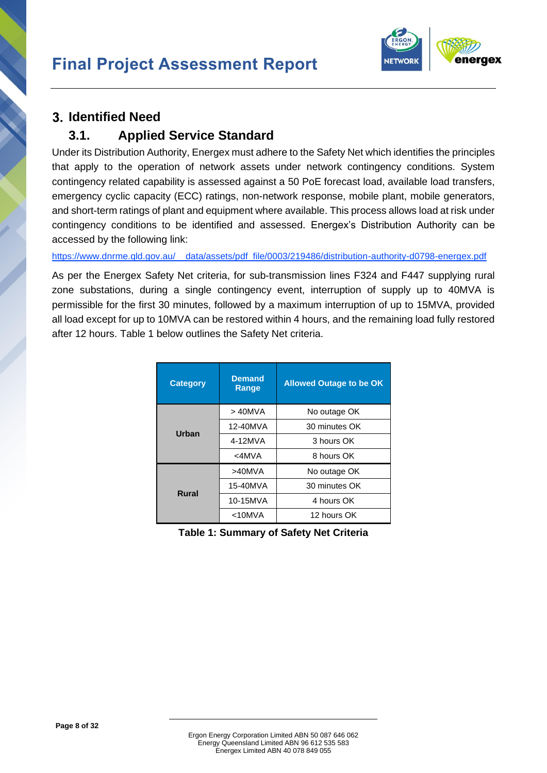

### <span id="page-12-0"></span>**Identified Need**

### <span id="page-12-1"></span>**3.1. Applied Service Standard**

Under its Distribution Authority, Energex must adhere to the Safety Net which identifies the principles that apply to the operation of network assets under network contingency conditions. System contingency related capability is assessed against a 50 PoE forecast load, available load transfers, emergency cyclic capacity (ECC) ratings, non-network response, mobile plant, mobile generators, and short-term ratings of plant and equipment where available. This process allows load at risk under contingency conditions to be identified and assessed. Energex's Distribution Authority can be accessed by the following link:

[https://www.dnrme.qld.gov.au/\\_\\_data/assets/pdf\\_file/0003/219486/distribution-authority-d0798-energex.pdf](https://www.dnrme.qld.gov.au/__data/assets/pdf_file/0003/219486/distribution-authority-d0798-energex.pdf)

As per the Energex Safety Net criteria, for sub-transmission lines F324 and F447 supplying rural zone substations, during a single contingency event, interruption of supply up to 40MVA is permissible for the first 30 minutes, followed by a maximum interruption of up to 15MVA, provided all load except for up to 10MVA can be restored within 4 hours, and the remaining load fully restored after 12 hours. [Table 1](#page-12-2) below outlines the Safety Net criteria.

| <b>Category</b> | <b>Demand</b><br>Range | <b>Allowed Outage to be OK</b> |  |
|-----------------|------------------------|--------------------------------|--|
|                 | $>40$ MVA              | No outage OK                   |  |
| Urban           | 12-40MVA               | 30 minutes OK                  |  |
|                 | 4-12MVA                | 3 hours OK                     |  |
|                 | $<$ 4MVA               | 8 hours OK                     |  |
|                 | $>40$ MVA              | No outage OK                   |  |
| <b>Rural</b>    | 15-40MVA               | 30 minutes OK                  |  |
|                 | 10-15MVA               | 4 hours OK                     |  |
|                 | $<$ 10MVA              | 12 hours OK                    |  |

<span id="page-12-2"></span>**Table 1: Summary of Safety Net Criteria**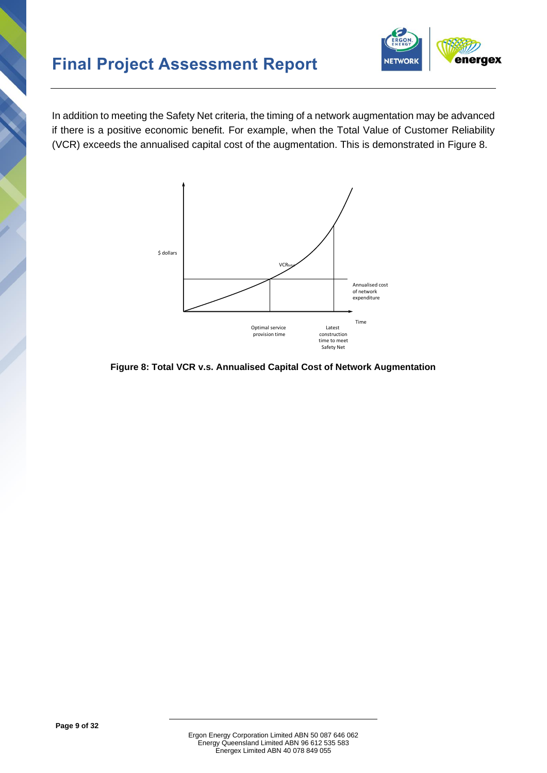

In addition to meeting the Safety Net criteria, the timing of a network augmentation may be advanced if there is a positive economic benefit. For example, when the Total Value of Customer Reliability (VCR) exceeds the annualised capital cost of the augmentation. This is demonstrated in [Figure 8.](#page-13-0)



<span id="page-13-0"></span>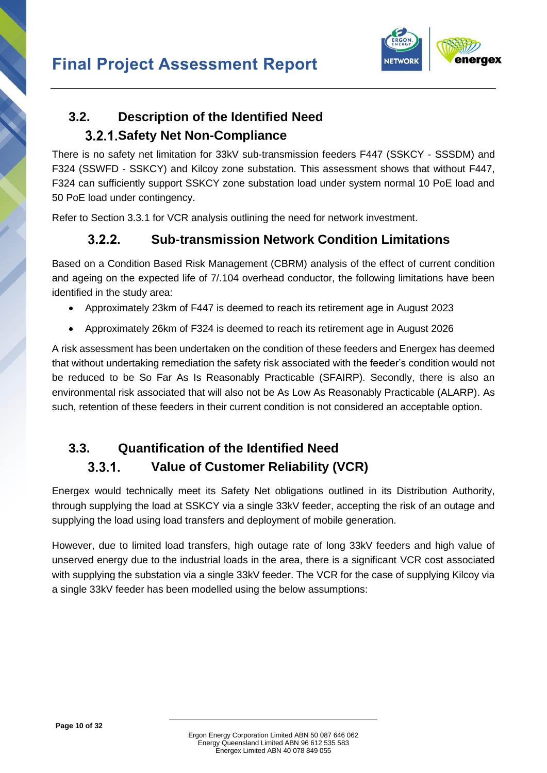

# <span id="page-14-0"></span>**3.2. Description of the Identified Need Safety Net Non-Compliance**

<span id="page-14-1"></span>There is no safety net limitation for 33kV sub-transmission feeders F447 (SSKCY - SSSDM) and F324 (SSWFD - SSKCY) and Kilcoy zone substation. This assessment shows that without F447, F324 can sufficiently support SSKCY zone substation load under system normal 10 PoE load and 50 PoE load under contingency.

<span id="page-14-2"></span>Refer to Section [3.3.1](#page-14-4) for VCR analysis outlining the need for network investment.

#### $3.2.2.$ **Sub-transmission Network Condition Limitations**

Based on a Condition Based Risk Management (CBRM) analysis of the effect of current condition and ageing on the expected life of 7/.104 overhead conductor, the following limitations have been identified in the study area:

- Approximately 23km of F447 is deemed to reach its retirement age in August 2023
- Approximately 26km of F324 is deemed to reach its retirement age in August 2026

A risk assessment has been undertaken on the condition of these feeders and Energex has deemed that without undertaking remediation the safety risk associated with the feeder's condition would not be reduced to be So Far As Is Reasonably Practicable (SFAIRP). Secondly, there is also an environmental risk associated that will also not be As Low As Reasonably Practicable (ALARP). As such, retention of these feeders in their current condition is not considered an acceptable option.

# <span id="page-14-3"></span>**3.3. Quantification of the Identified Need**

#### $3.3.1.$ **Value of Customer Reliability (VCR)**

<span id="page-14-4"></span>Energex would technically meet its Safety Net obligations outlined in its Distribution Authority, through supplying the load at SSKCY via a single 33kV feeder, accepting the risk of an outage and supplying the load using load transfers and deployment of mobile generation.

However, due to limited load transfers, high outage rate of long 33kV feeders and high value of unserved energy due to the industrial loads in the area, there is a significant VCR cost associated with supplying the substation via a single 33kV feeder. The VCR for the case of supplying Kilcoy via a single 33kV feeder has been modelled using the below assumptions: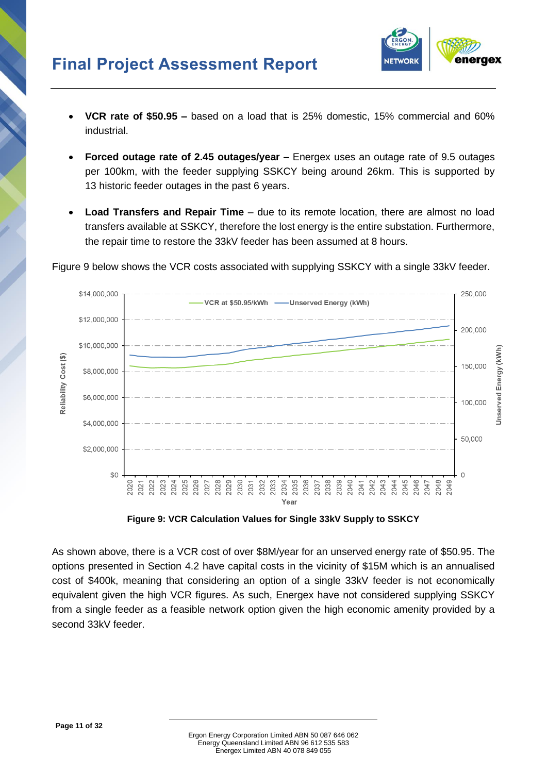

- **VCR rate of \$50.95 –** based on a load that is 25% domestic, 15% commercial and 60% industrial.
- **Forced outage rate of 2.45 outages/year –** Energex uses an outage rate of 9.5 outages per 100km, with the feeder supplying SSKCY being around 26km. This is supported by 13 historic feeder outages in the past 6 years.
- **Load Transfers and Repair Time** due to its remote location, there are almost no load transfers available at SSKCY, therefore the lost energy is the entire substation. Furthermore, the repair time to restore the 33kV feeder has been assumed at 8 hours.



[Figure 9](#page-15-0) below shows the VCR costs associated with supplying SSKCY with a single 33kV feeder.

**Figure 9: VCR Calculation Values for Single 33kV Supply to SSKCY**

<span id="page-15-0"></span>As shown above, there is a VCR cost of over \$8M/year for an unserved energy rate of \$50.95. The options presented in Section [4.2](#page-16-2) have capital costs in the vicinity of \$15M which is an annualised cost of \$400k, meaning that considering an option of a single 33kV feeder is not economically equivalent given the high VCR figures. As such, Energex have not considered supplying SSKCY from a single feeder as a feasible network option given the high economic amenity provided by a second 33kV feeder.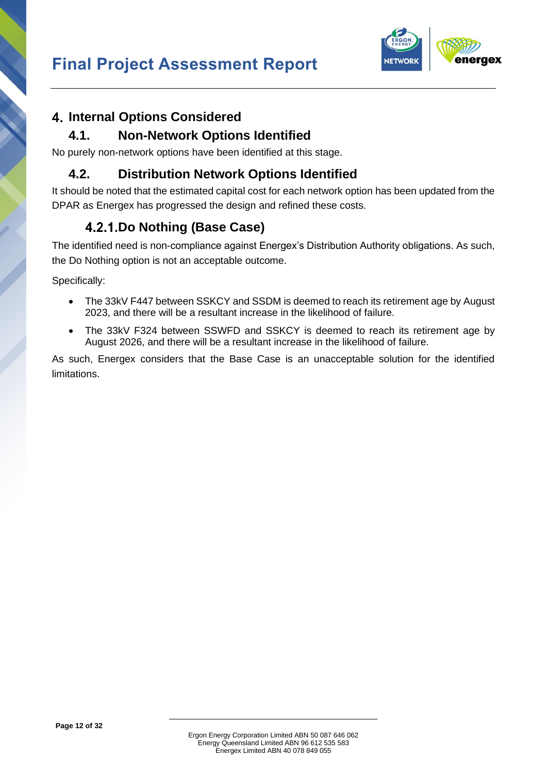

# <span id="page-16-0"></span>**Internal Options Considered**

### **4.1. Non-Network Options Identified**

<span id="page-16-1"></span>No purely non-network options have been identified at this stage.

### <span id="page-16-2"></span>**4.2. Distribution Network Options Identified**

It should be noted that the estimated capital cost for each network option has been updated from the DPAR as Energex has progressed the design and refined these costs.

# **Do Nothing (Base Case)**

<span id="page-16-3"></span>The identified need is non-compliance against Energex's Distribution Authority obligations. As such, the Do Nothing option is not an acceptable outcome.

Specifically:

- The 33kV F447 between SSKCY and SSDM is deemed to reach its retirement age by August 2023, and there will be a resultant increase in the likelihood of failure.
- The 33kV F324 between SSWFD and SSKCY is deemed to reach its retirement age by August 2026, and there will be a resultant increase in the likelihood of failure.

As such, Energex considers that the Base Case is an unacceptable solution for the identified limitations.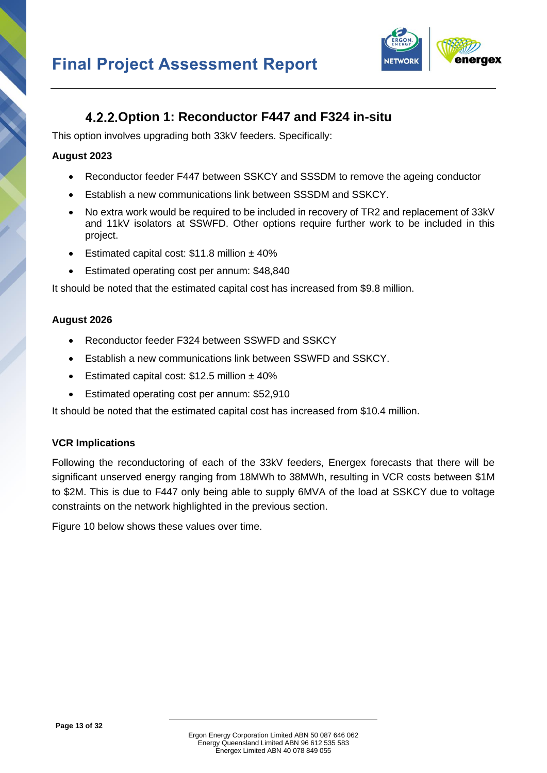

### **Option 1: Reconductor F447 and F324 in-situ**

<span id="page-17-0"></span>This option involves upgrading both 33kV feeders. Specifically:

#### **August 2023**

- Reconductor feeder F447 between SSKCY and SSSDM to remove the ageing conductor
- Establish a new communications link between SSSDM and SSKCY.
- No extra work would be required to be included in recovery of TR2 and replacement of 33kV and 11kV isolators at SSWFD. Other options require further work to be included in this project.
- Estimated capital cost:  $$11.8$  million  $± 40\%$
- Estimated operating cost per annum: \$48,840

It should be noted that the estimated capital cost has increased from \$9.8 million.

#### **August 2026**

- Reconductor feeder F324 between SSWFD and SSKCY
- Establish a new communications link between SSWFD and SSKCY.
- Estimated capital cost:  $$12.5$  million  $±$  40%
- Estimated operating cost per annum: \$52,910

It should be noted that the estimated capital cost has increased from \$10.4 million.

#### **VCR Implications**

Following the reconductoring of each of the 33kV feeders, Energex forecasts that there will be significant unserved energy ranging from 18MWh to 38MWh, resulting in VCR costs between \$1M to \$2M. This is due to F447 only being able to supply 6MVA of the load at SSKCY due to voltage constraints on the network highlighted in the previous section.

[Figure](#page-18-1) 10 below shows these values over time.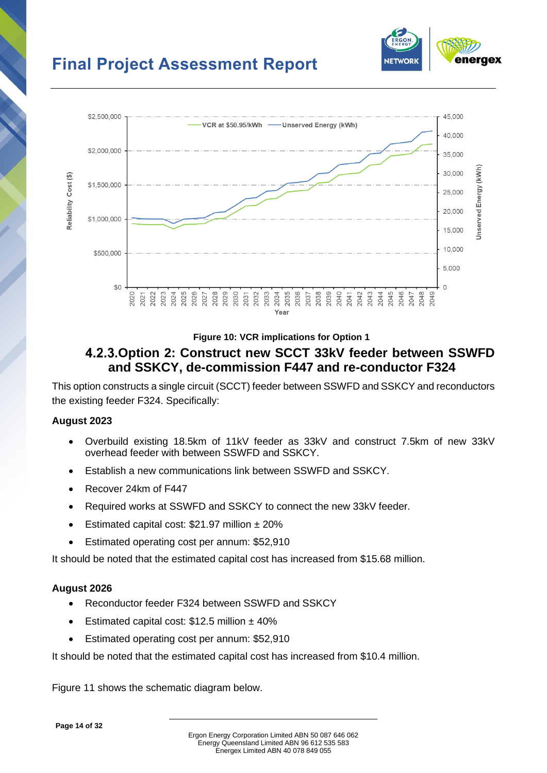

<span id="page-18-1"></span>neraex

**NETWOR** 

#### **Figure 10: VCR implications for Option 1**

### <span id="page-18-0"></span>**Option 2: Construct new SCCT 33kV feeder between SSWFD and SSKCY, de-commission F447 and re-conductor F324**

This option constructs a single circuit (SCCT) feeder between SSWFD and SSKCY and reconductors the existing feeder F324. Specifically:

#### **August 2023**

- Overbuild existing 18.5km of 11kV feeder as 33kV and construct 7.5km of new 33kV overhead feeder with between SSWFD and SSKCY.
- Establish a new communications link between SSWFD and SSKCY.
- Recover 24km of F447
- Required works at SSWFD and SSKCY to connect the new 33kV feeder.
- Estimated capital cost:  $$21.97$  million  $± 20\%$
- Estimated operating cost per annum: \$52,910

It should be noted that the estimated capital cost has increased from \$15.68 million.

#### **August 2026**

- Reconductor feeder F324 between SSWFD and SSKCY
- Estimated capital cost:  $$12.5$  million  $±$  40%
- Estimated operating cost per annum: \$52,910

It should be noted that the estimated capital cost has increased from \$10.4 million.

[Figure 11](#page-20-0) shows the schematic diagram below.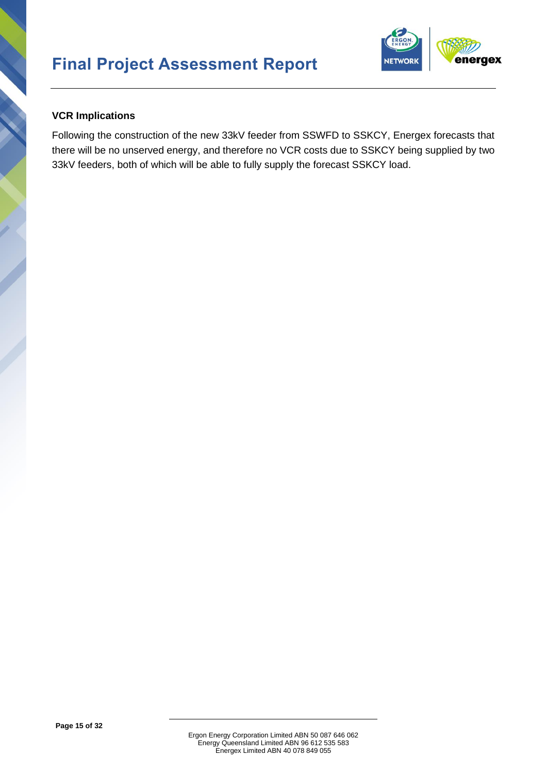

#### **VCR Implications**

Following the construction of the new 33kV feeder from SSWFD to SSKCY, Energex forecasts that there will be no unserved energy, and therefore no VCR costs due to SSKCY being supplied by two 33kV feeders, both of which will be able to fully supply the forecast SSKCY load.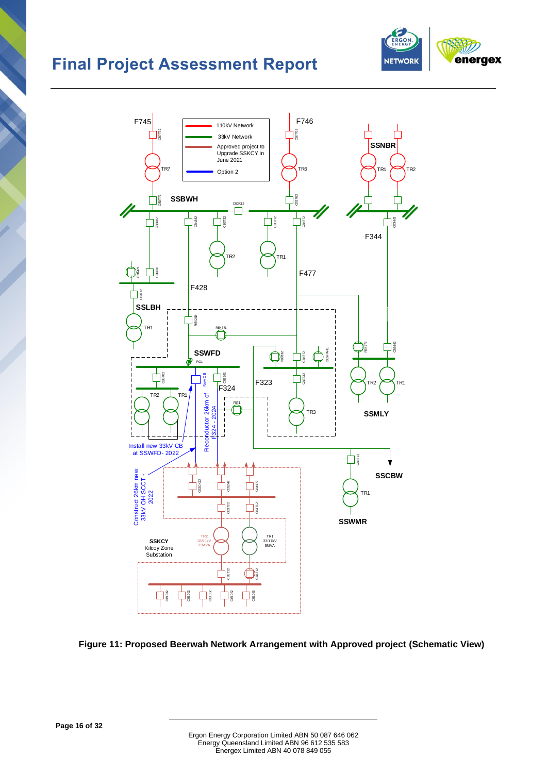



#### <span id="page-20-0"></span>**Figure 11: Proposed Beerwah Network Arrangement with Approved project (Schematic View)**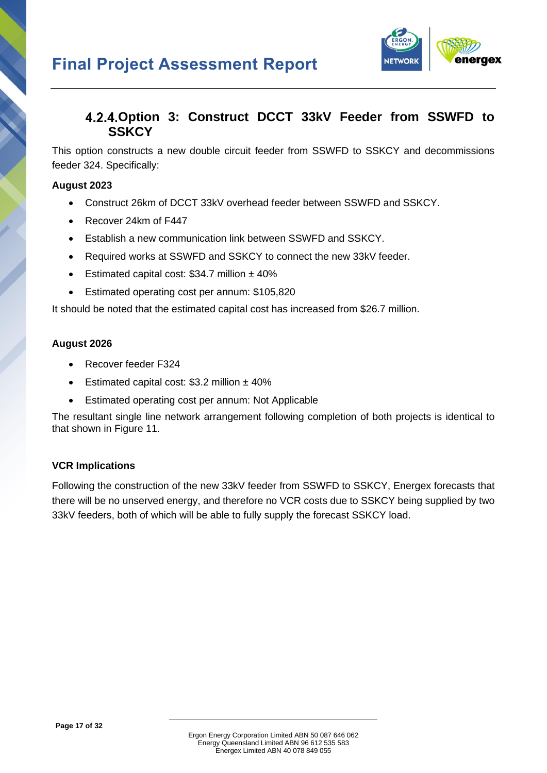

### <span id="page-21-0"></span>**Option 3: Construct DCCT 33kV Feeder from SSWFD to SSKCY**

This option constructs a new double circuit feeder from SSWFD to SSKCY and decommissions feeder 324. Specifically:

#### **August 2023**

- Construct 26km of DCCT 33kV overhead feeder between SSWFD and SSKCY.
- Recover 24km of F447
- Establish a new communication link between SSWFD and SSKCY.
- Required works at SSWFD and SSKCY to connect the new 33kV feeder.
- Estimated capital cost:  $$34.7$  million  $± 40\%$
- Estimated operating cost per annum: \$105,820

It should be noted that the estimated capital cost has increased from \$26.7 million.

#### **August 2026**

- Recover feeder F324
- Estimated capital cost:  $$3.2$  million  $\pm$  40%
- Estimated operating cost per annum: Not Applicable

The resultant single line network arrangement following completion of both projects is identical to that shown in [Figure 11.](#page-20-0)

#### **VCR Implications**

Following the construction of the new 33kV feeder from SSWFD to SSKCY, Energex forecasts that there will be no unserved energy, and therefore no VCR costs due to SSKCY being supplied by two 33kV feeders, both of which will be able to fully supply the forecast SSKCY load.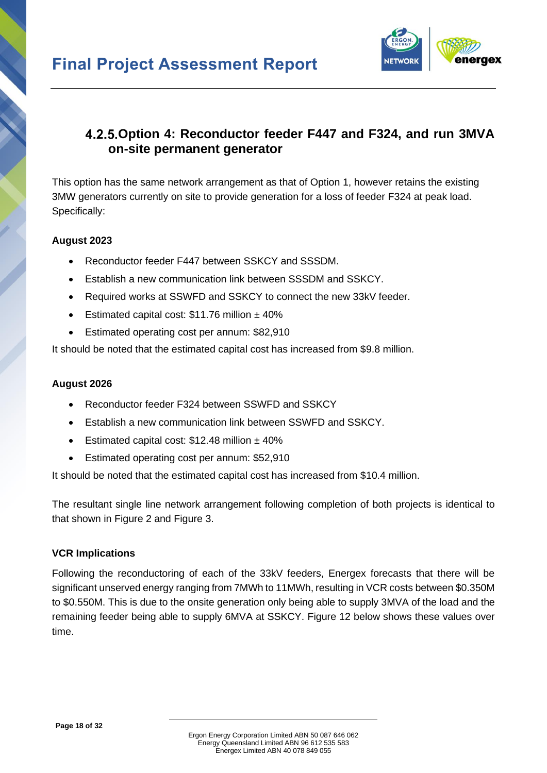

### <span id="page-22-0"></span>**Option 4: Reconductor feeder F447 and F324, and run 3MVA on-site permanent generator**

This option has the same network arrangement as that of Option 1, however retains the existing 3MW generators currently on site to provide generation for a loss of feeder F324 at peak load. Specifically:

#### **August 2023**

- Reconductor feeder F447 between SSKCY and SSSDM.
- Establish a new communication link between SSSDM and SSKCY.
- Required works at SSWFD and SSKCY to connect the new 33kV feeder.
- Estimated capital cost:  $$11.76$  million  $± 40\%$
- Estimated operating cost per annum: \$82,910

It should be noted that the estimated capital cost has increased from \$9.8 million.

#### **August 2026**

- Reconductor feeder F324 between SSWFD and SSKCY
- Establish a new communication link between SSWFD and SSKCY.
- Estimated capital cost:  $$12.48$  million  $± 40\%$
- Estimated operating cost per annum: \$52,910

It should be noted that the estimated capital cost has increased from \$10.4 million.

The resultant single line network arrangement following completion of both projects is identical to that shown in [Figure 2](#page-7-0) and [Figure 3.](#page-8-0)

#### **VCR Implications**

Following the reconductoring of each of the 33kV feeders, Energex forecasts that there will be significant unserved energy ranging from 7MWh to 11MWh, resulting in VCR costs between \$0.350M to \$0.550M. This is due to the onsite generation only being able to supply 3MVA of the load and the remaining feeder being able to supply 6MVA at SSKCY. [Figure 12](#page-23-2) below shows these values over time.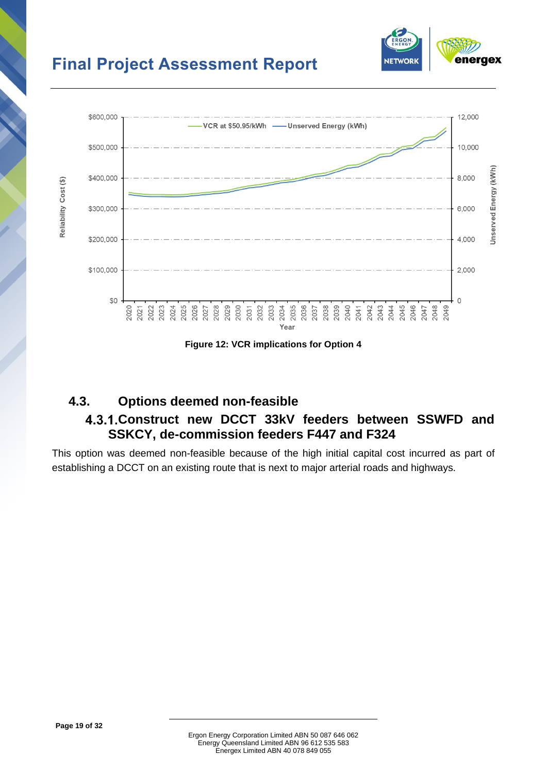

eraex

**NETWOR** 

**Figure 12: VCR implications for Option 4**

# <span id="page-23-2"></span><span id="page-23-1"></span><span id="page-23-0"></span>**4.3. Options deemed non-feasible**

# **Construct new DCCT 33kV feeders between SSWFD and SSKCY, de-commission feeders F447 and F324**

This option was deemed non-feasible because of the high initial capital cost incurred as part of establishing a DCCT on an existing route that is next to major arterial roads and highways.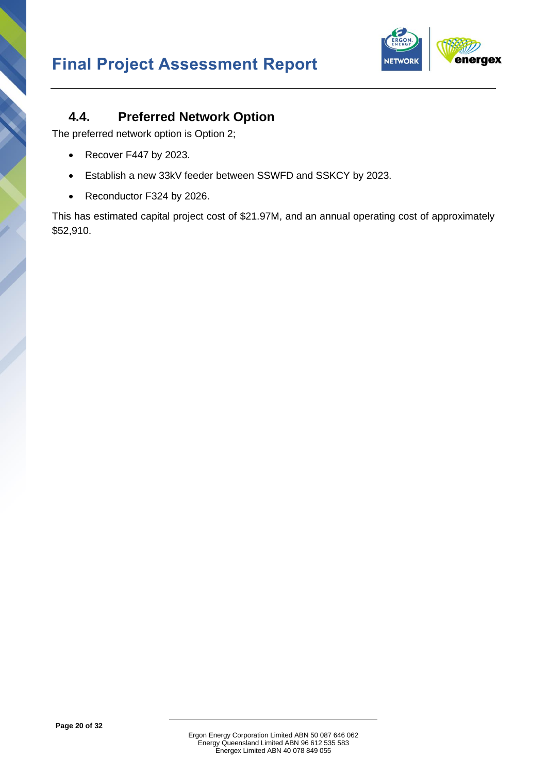

### <span id="page-24-0"></span>**4.4. Preferred Network Option**

The preferred network option is Option 2;

- Recover F447 by 2023.
- Establish a new 33kV feeder between SSWFD and SSKCY by 2023.
- Reconductor F324 by 2026.

This has estimated capital project cost of \$21.97M, and an annual operating cost of approximately \$52,910.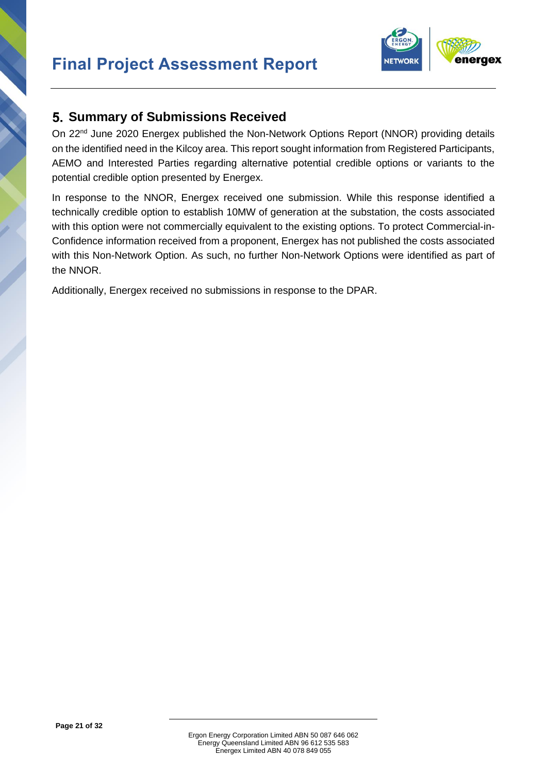

### <span id="page-25-0"></span>**Summary of Submissions Received**

On 22<sup>nd</sup> June 2020 Energex published the Non-Network Options Report (NNOR) providing details on the identified need in the Kilcoy area. This report sought information from Registered Participants, AEMO and Interested Parties regarding alternative potential credible options or variants to the potential credible option presented by Energex.

In response to the NNOR, Energex received one submission. While this response identified a technically credible option to establish 10MW of generation at the substation, the costs associated with this option were not commercially equivalent to the existing options. To protect Commercial-in-Confidence information received from a proponent, Energex has not published the costs associated with this Non-Network Option. As such, no further Non-Network Options were identified as part of the NNOR.

Additionally, Energex received no submissions in response to the DPAR.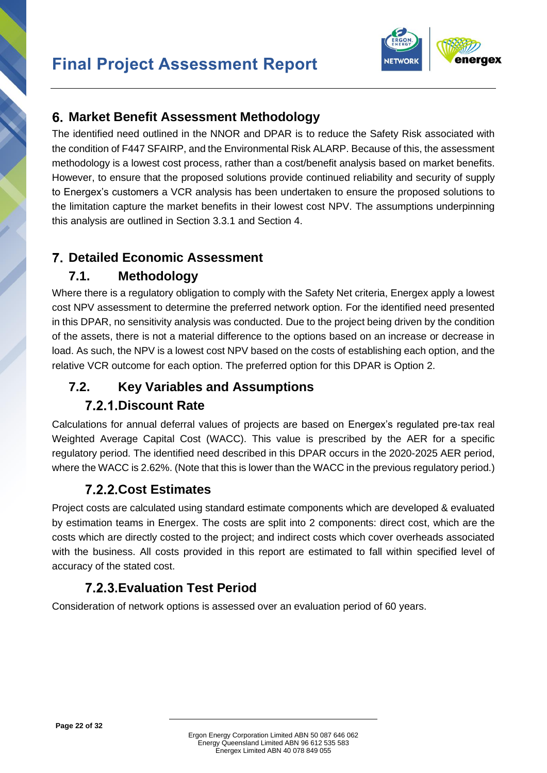

### <span id="page-26-0"></span>**Market Benefit Assessment Methodology**

The identified need outlined in the NNOR and DPAR is to reduce the Safety Risk associated with the condition of F447 SFAIRP, and the Environmental Risk ALARP. Because of this, the assessment methodology is a lowest cost process, rather than a cost/benefit analysis based on market benefits. However, to ensure that the proposed solutions provide continued reliability and security of supply to Energex's customers a VCR analysis has been undertaken to ensure the proposed solutions to the limitation capture the market benefits in their lowest cost NPV. The assumptions underpinning this analysis are outlined in Section [3.3.1](#page-14-4) and Section [4.](#page-16-0)

### <span id="page-26-1"></span>**Detailed Economic Assessment**

# **7.1. Methodology**

<span id="page-26-2"></span>Where there is a regulatory obligation to comply with the Safety Net criteria, Energex apply a lowest cost NPV assessment to determine the preferred network option. For the identified need presented in this DPAR, no sensitivity analysis was conducted. Due to the project being driven by the condition of the assets, there is not a material difference to the options based on an increase or decrease in load. As such, the NPV is a lowest cost NPV based on the costs of establishing each option, and the relative VCR outcome for each option. The preferred option for this DPAR is Option 2.

# <span id="page-26-3"></span>**7.2. Key Variables and Assumptions Discount Rate**

<span id="page-26-4"></span>Calculations for annual deferral values of projects are based on Energex's regulated pre-tax real Weighted Average Capital Cost (WACC). This value is prescribed by the AER for a specific regulatory period. The identified need described in this DPAR occurs in the 2020-2025 AER period, where the WACC is 2.62%. (Note that this is lower than the WACC in the previous regulatory period.)

# **Cost Estimates**

<span id="page-26-5"></span>Project costs are calculated using standard estimate components which are developed & evaluated by estimation teams in Energex. The costs are split into 2 components: direct cost, which are the costs which are directly costed to the project; and indirect costs which cover overheads associated with the business. All costs provided in this report are estimated to fall within specified level of accuracy of the stated cost.

# **Evaluation Test Period**

<span id="page-26-6"></span>Consideration of network options is assessed over an evaluation period of 60 years.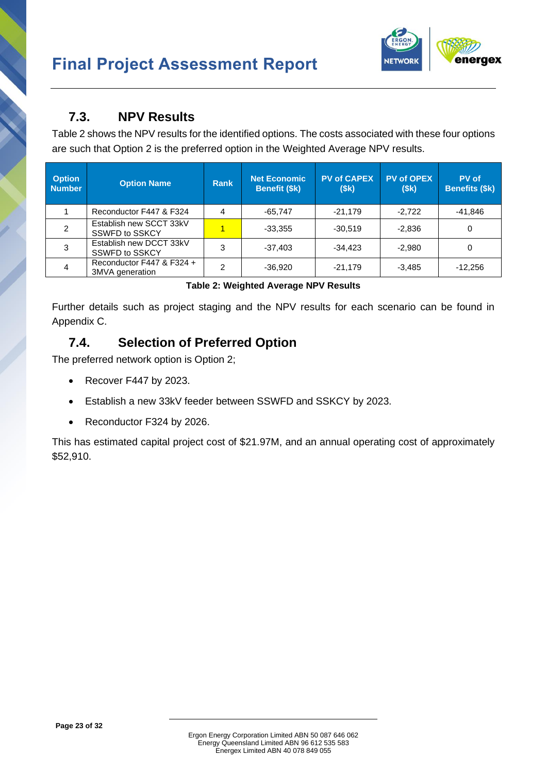

### <span id="page-27-0"></span>**7.3. NPV Results**

[Table 2](#page-27-2) shows the NPV results for the identified options. The costs associated with these four options are such that Option 2 is the preferred option in the Weighted Average NPV results.

| <b>Option</b><br><b>Number</b> | <b>Option Name</b>                               | <b>Rank</b> | <b>Net Economic</b><br>Benefit (\$k) | <b>PV of CAPEX</b><br>(\$k) | <b>PV of OPEX</b><br>(\$k) | PV of<br><b>Benefits (\$k)</b> |
|--------------------------------|--------------------------------------------------|-------------|--------------------------------------|-----------------------------|----------------------------|--------------------------------|
|                                | Reconductor F447 & F324                          | 4           | $-65,747$                            | $-21.179$                   | $-2,722$                   | $-41.846$                      |
| 2                              | Establish new SCCT 33kV<br><b>SSWFD to SSKCY</b> |             | $-33,355$                            | $-30.519$                   | $-2,836$                   | 0                              |
| 3                              | Establish new DCCT 33kV<br><b>SSWFD to SSKCY</b> | 3           | $-37,403$                            | $-34.423$                   | $-2,980$                   | 0                              |
| 4                              | Reconductor F447 & F324 +<br>3MVA generation     | າ           | $-36,920$                            | $-21,179$                   | $-3,485$                   | $-12,256$                      |

|  | Table 2: Weighted Average NPV Results |  |  |
|--|---------------------------------------|--|--|
|  |                                       |  |  |

<span id="page-27-2"></span>Further details such as project staging and the NPV results for each scenario can be found in Appendix C.

# <span id="page-27-1"></span>**7.4. Selection of Preferred Option**

The preferred network option is Option 2;

- Recover F447 by 2023.
- Establish a new 33kV feeder between SSWFD and SSKCY by 2023.
- Reconductor F324 by 2026.

This has estimated capital project cost of \$21.97M, and an annual operating cost of approximately \$52,910.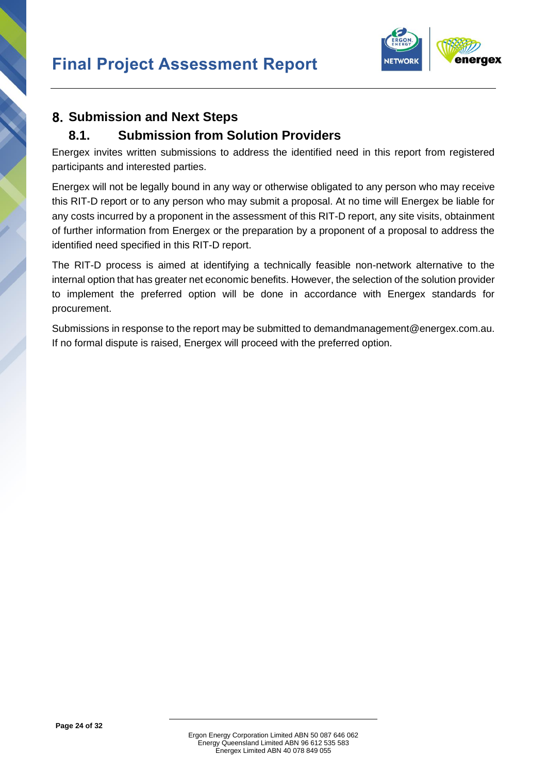

# <span id="page-28-0"></span>**Submission and Next Steps**

### <span id="page-28-1"></span>**8.1. Submission from Solution Providers**

Energex invites written submissions to address the identified need in this report from registered participants and interested parties.

Energex will not be legally bound in any way or otherwise obligated to any person who may receive this RIT-D report or to any person who may submit a proposal. At no time will Energex be liable for any costs incurred by a proponent in the assessment of this RIT-D report, any site visits, obtainment of further information from Energex or the preparation by a proponent of a proposal to address the identified need specified in this RIT-D report.

The RIT-D process is aimed at identifying a technically feasible non-network alternative to the internal option that has greater net economic benefits. However, the selection of the solution provider to implement the preferred option will be done in accordance with Energex standards for procurement.

Submissions in response to the report may be submitted to [demandmanagement@energex.com.au.](mailto:demandmanagement@energex.com.au) If no formal dispute is raised, Energex will proceed with the preferred option.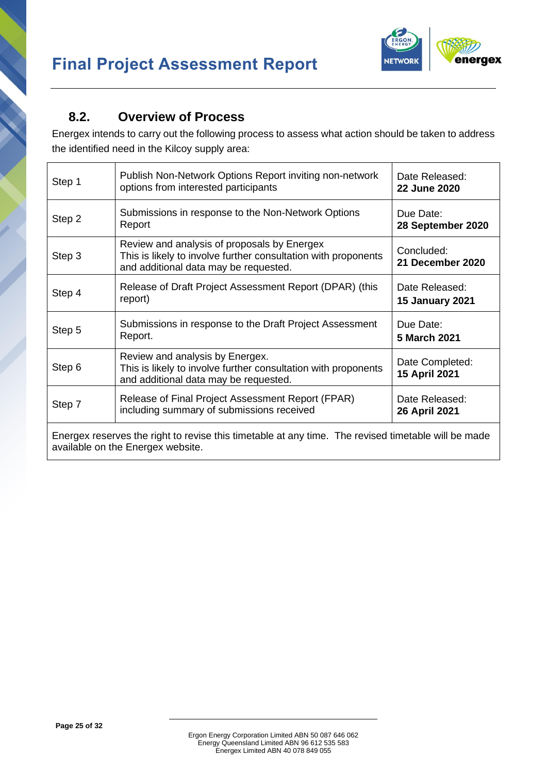



### <span id="page-29-0"></span>**8.2. Overview of Process**

Energex intends to carry out the following process to assess what action should be taken to address the identified need in the Kilcoy supply area:

| Step 1                                                                                                                                   | Publish Non-Network Options Report inviting non-network<br>options from interested participants                                                        | Date Released:<br><b>22 June 2020</b>    |  |  |
|------------------------------------------------------------------------------------------------------------------------------------------|--------------------------------------------------------------------------------------------------------------------------------------------------------|------------------------------------------|--|--|
| Step 2                                                                                                                                   | Submissions in response to the Non-Network Options<br>Report                                                                                           | Due Date:<br>28 September 2020           |  |  |
| Step 3                                                                                                                                   | Review and analysis of proposals by Energex<br>This is likely to involve further consultation with proponents<br>and additional data may be requested. | Concluded:<br>21 December 2020           |  |  |
| Step 4                                                                                                                                   | Release of Draft Project Assessment Report (DPAR) (this<br>report)                                                                                     | Date Released:<br><b>15 January 2021</b> |  |  |
| Step 5                                                                                                                                   | Submissions in response to the Draft Project Assessment<br>Report.                                                                                     | Due Date:<br>5 March 2021                |  |  |
| Step 6                                                                                                                                   | Review and analysis by Energex.<br>This is likely to involve further consultation with proponents<br>and additional data may be requested.             | Date Completed:<br>15 April 2021         |  |  |
| Step 7                                                                                                                                   | Release of Final Project Assessment Report (FPAR)<br>including summary of submissions received                                                         | Date Released:<br>26 April 2021          |  |  |
| Energex reserves the right to revise this timetable at any time. The revised timetable will be made<br>available on the Energex website. |                                                                                                                                                        |                                          |  |  |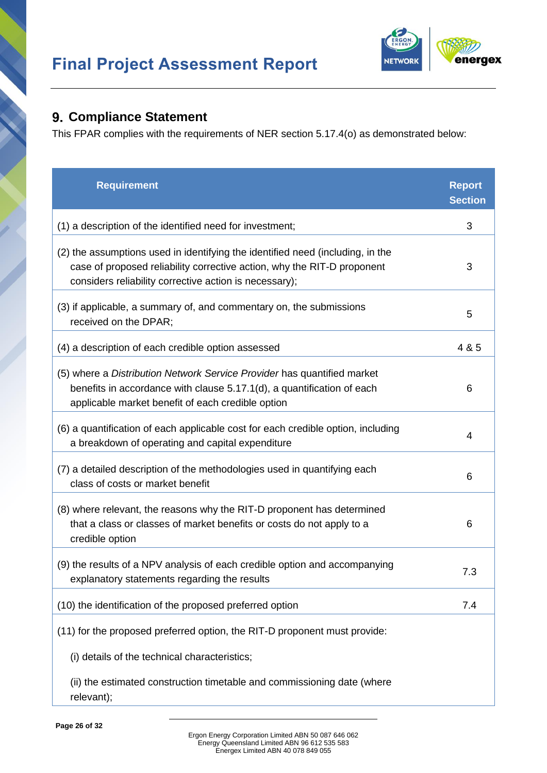

### <span id="page-30-0"></span>**Compliance Statement**

This FPAR complies with the requirements of NER section 5.17.4(o) as demonstrated below:

| <b>Requirement</b>                                                                                                                                                                                                  | <b>Report</b><br><b>Section</b> |
|---------------------------------------------------------------------------------------------------------------------------------------------------------------------------------------------------------------------|---------------------------------|
| (1) a description of the identified need for investment;                                                                                                                                                            | 3                               |
| (2) the assumptions used in identifying the identified need (including, in the<br>case of proposed reliability corrective action, why the RIT-D proponent<br>considers reliability corrective action is necessary); | 3                               |
| (3) if applicable, a summary of, and commentary on, the submissions<br>received on the DPAR;                                                                                                                        | 5                               |
| (4) a description of each credible option assessed                                                                                                                                                                  | 4 & 5                           |
| (5) where a Distribution Network Service Provider has quantified market<br>benefits in accordance with clause 5.17.1(d), a quantification of each<br>applicable market benefit of each credible option              | 6                               |
| (6) a quantification of each applicable cost for each credible option, including<br>a breakdown of operating and capital expenditure                                                                                | 4                               |
| (7) a detailed description of the methodologies used in quantifying each<br>class of costs or market benefit                                                                                                        | 6                               |
| (8) where relevant, the reasons why the RIT-D proponent has determined<br>that a class or classes of market benefits or costs do not apply to a<br>credible option                                                  | 6                               |
| (9) the results of a NPV analysis of each credible option and accompanying<br>explanatory statements regarding the results                                                                                          | 7.3                             |
| (10) the identification of the proposed preferred option                                                                                                                                                            | 7.4                             |
| (11) for the proposed preferred option, the RIT-D proponent must provide:                                                                                                                                           |                                 |
| (i) details of the technical characteristics;                                                                                                                                                                       |                                 |
| (ii) the estimated construction timetable and commissioning date (where<br>relevant);                                                                                                                               |                                 |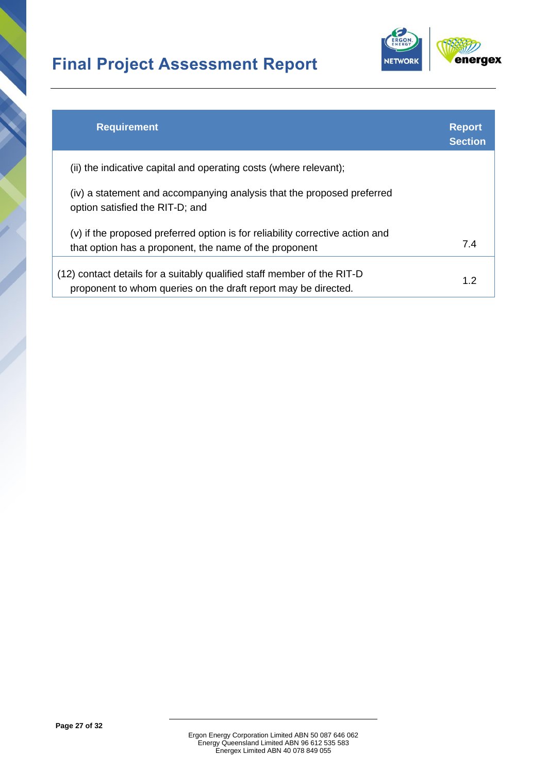

| <b>Requirement</b>                                                                                                                        | <b>Report</b><br><b>Section</b> |
|-------------------------------------------------------------------------------------------------------------------------------------------|---------------------------------|
| (ii) the indicative capital and operating costs (where relevant);                                                                         |                                 |
| (iv) a statement and accompanying analysis that the proposed preferred<br>option satisfied the RIT-D; and                                 |                                 |
| (v) if the proposed preferred option is for reliability corrective action and<br>that option has a proponent, the name of the proponent   | 7.4                             |
| (12) contact details for a suitably qualified staff member of the RIT-D<br>proponent to whom queries on the draft report may be directed. | 1.2                             |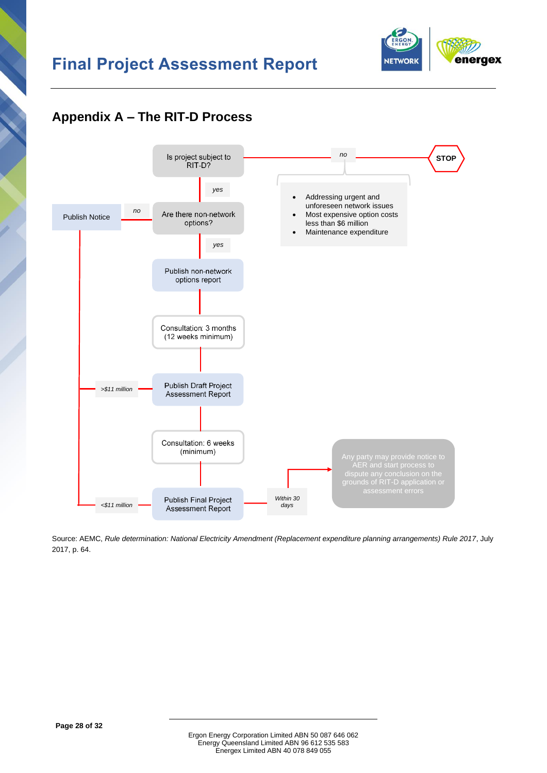

# <span id="page-32-0"></span>**Appendix A – The RIT-D Process**



Source: AEMC, *Rule determination: National Electricity Amendment (Replacement expenditure planning arrangements) Rule 2017*, July 2017, p. 64.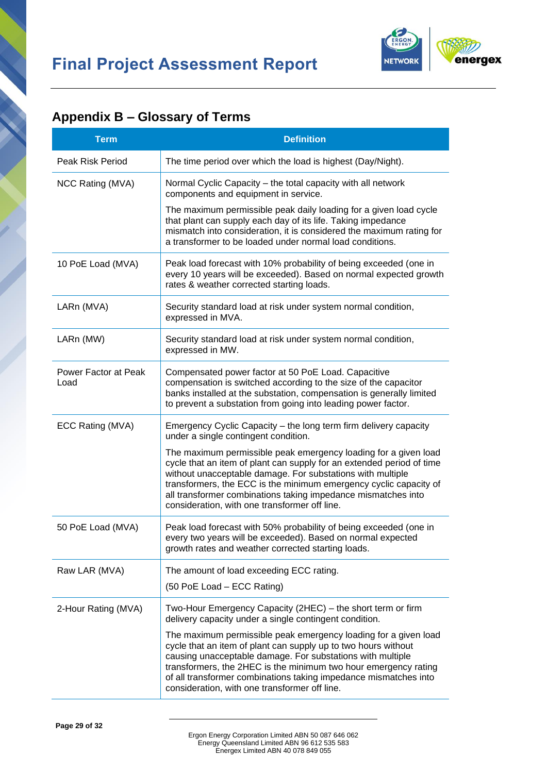

# <span id="page-33-0"></span>**Appendix B – Glossary of Terms**

| <b>Term</b>                  | <b>Definition</b>                                                                                                                                                                                                                                                                                                                                                                             |
|------------------------------|-----------------------------------------------------------------------------------------------------------------------------------------------------------------------------------------------------------------------------------------------------------------------------------------------------------------------------------------------------------------------------------------------|
| Peak Risk Period             | The time period over which the load is highest (Day/Night).                                                                                                                                                                                                                                                                                                                                   |
| NCC Rating (MVA)             | Normal Cyclic Capacity - the total capacity with all network<br>components and equipment in service.                                                                                                                                                                                                                                                                                          |
|                              | The maximum permissible peak daily loading for a given load cycle<br>that plant can supply each day of its life. Taking impedance<br>mismatch into consideration, it is considered the maximum rating for<br>a transformer to be loaded under normal load conditions.                                                                                                                         |
| 10 PoE Load (MVA)            | Peak load forecast with 10% probability of being exceeded (one in<br>every 10 years will be exceeded). Based on normal expected growth<br>rates & weather corrected starting loads.                                                                                                                                                                                                           |
| LARn (MVA)                   | Security standard load at risk under system normal condition,<br>expressed in MVA.                                                                                                                                                                                                                                                                                                            |
| LARn (MW)                    | Security standard load at risk under system normal condition,<br>expressed in MW.                                                                                                                                                                                                                                                                                                             |
| Power Factor at Peak<br>Load | Compensated power factor at 50 PoE Load. Capacitive<br>compensation is switched according to the size of the capacitor<br>banks installed at the substation, compensation is generally limited<br>to prevent a substation from going into leading power factor.                                                                                                                               |
| ECC Rating (MVA)             | Emergency Cyclic Capacity – the long term firm delivery capacity<br>under a single contingent condition.                                                                                                                                                                                                                                                                                      |
|                              | The maximum permissible peak emergency loading for a given load<br>cycle that an item of plant can supply for an extended period of time<br>without unacceptable damage. For substations with multiple<br>transformers, the ECC is the minimum emergency cyclic capacity of<br>all transformer combinations taking impedance mismatches into<br>consideration, with one transformer off line. |
| 50 PoE Load (MVA)            | Peak load forecast with 50% probability of being exceeded (one in<br>every two years will be exceeded). Based on normal expected<br>growth rates and weather corrected starting loads.                                                                                                                                                                                                        |
| Raw LAR (MVA)                | The amount of load exceeding ECC rating.<br>(50 PoE Load - ECC Rating)                                                                                                                                                                                                                                                                                                                        |
| 2-Hour Rating (MVA)          | Two-Hour Emergency Capacity (2HEC) – the short term or firm<br>delivery capacity under a single contingent condition.                                                                                                                                                                                                                                                                         |
|                              | The maximum permissible peak emergency loading for a given load<br>cycle that an item of plant can supply up to two hours without<br>causing unacceptable damage. For substations with multiple<br>transformers, the 2HEC is the minimum two hour emergency rating<br>of all transformer combinations taking impedance mismatches into<br>consideration, with one transformer off line.       |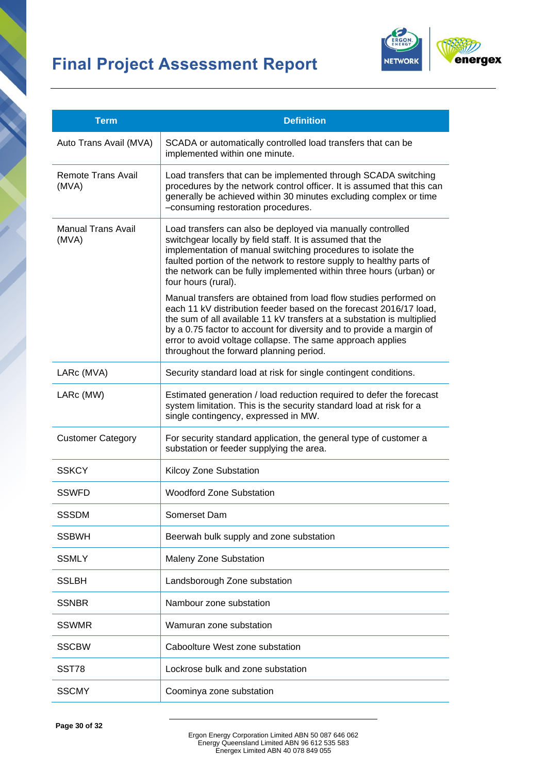

| <b>Term</b>                                                                                                                                                                                      | <b>Definition</b>                                                                                                                                                                                                                                                                                                                                                                                  |  |
|--------------------------------------------------------------------------------------------------------------------------------------------------------------------------------------------------|----------------------------------------------------------------------------------------------------------------------------------------------------------------------------------------------------------------------------------------------------------------------------------------------------------------------------------------------------------------------------------------------------|--|
| Auto Trans Avail (MVA)                                                                                                                                                                           | SCADA or automatically controlled load transfers that can be<br>implemented within one minute.                                                                                                                                                                                                                                                                                                     |  |
| Remote Trans Avail<br>(MVA)                                                                                                                                                                      | Load transfers that can be implemented through SCADA switching<br>procedures by the network control officer. It is assumed that this can<br>generally be achieved within 30 minutes excluding complex or time<br>-consuming restoration procedures.                                                                                                                                                |  |
| Manual Trans Avail<br>(MVA)                                                                                                                                                                      | Load transfers can also be deployed via manually controlled<br>switchgear locally by field staff. It is assumed that the<br>implementation of manual switching procedures to isolate the<br>faulted portion of the network to restore supply to healthy parts of<br>the network can be fully implemented within three hours (urban) or<br>four hours (rural).                                      |  |
|                                                                                                                                                                                                  | Manual transfers are obtained from load flow studies performed on<br>each 11 kV distribution feeder based on the forecast 2016/17 load,<br>the sum of all available 11 kV transfers at a substation is multiplied<br>by a 0.75 factor to account for diversity and to provide a margin of<br>error to avoid voltage collapse. The same approach applies<br>throughout the forward planning period. |  |
| LARc (MVA)                                                                                                                                                                                       | Security standard load at risk for single contingent conditions.                                                                                                                                                                                                                                                                                                                                   |  |
| Estimated generation / load reduction required to defer the forecast<br>LARc (MW)<br>system limitation. This is the security standard load at risk for a<br>single contingency, expressed in MW. |                                                                                                                                                                                                                                                                                                                                                                                                    |  |
| <b>Customer Category</b>                                                                                                                                                                         | For security standard application, the general type of customer a<br>substation or feeder supplying the area.                                                                                                                                                                                                                                                                                      |  |
| <b>SSKCY</b>                                                                                                                                                                                     | Kilcoy Zone Substation                                                                                                                                                                                                                                                                                                                                                                             |  |
| <b>SSWFD</b>                                                                                                                                                                                     | <b>Woodford Zone Substation</b>                                                                                                                                                                                                                                                                                                                                                                    |  |
| <b>SSSDM</b>                                                                                                                                                                                     | Somerset Dam                                                                                                                                                                                                                                                                                                                                                                                       |  |
| <b>SSBWH</b>                                                                                                                                                                                     | Beerwah bulk supply and zone substation                                                                                                                                                                                                                                                                                                                                                            |  |
| <b>SSMLY</b>                                                                                                                                                                                     | <b>Maleny Zone Substation</b>                                                                                                                                                                                                                                                                                                                                                                      |  |
| <b>SSLBH</b>                                                                                                                                                                                     | Landsborough Zone substation                                                                                                                                                                                                                                                                                                                                                                       |  |
| <b>SSNBR</b>                                                                                                                                                                                     | Nambour zone substation                                                                                                                                                                                                                                                                                                                                                                            |  |
| <b>SSWMR</b>                                                                                                                                                                                     | Wamuran zone substation                                                                                                                                                                                                                                                                                                                                                                            |  |
| <b>SSCBW</b>                                                                                                                                                                                     | Caboolture West zone substation                                                                                                                                                                                                                                                                                                                                                                    |  |
| SST78                                                                                                                                                                                            | Lockrose bulk and zone substation                                                                                                                                                                                                                                                                                                                                                                  |  |
| <b>SSCMY</b>                                                                                                                                                                                     | Coominya zone substation                                                                                                                                                                                                                                                                                                                                                                           |  |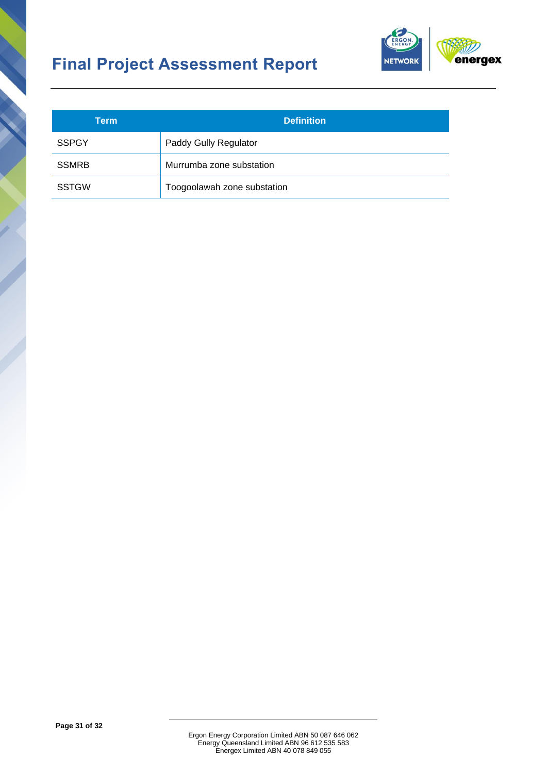

| Term         | <b>Definition</b>           |
|--------------|-----------------------------|
| <b>SSPGY</b> | Paddy Gully Regulator       |
| <b>SSMRB</b> | Murrumba zone substation    |
| <b>SSTGW</b> | Toogoolawah zone substation |